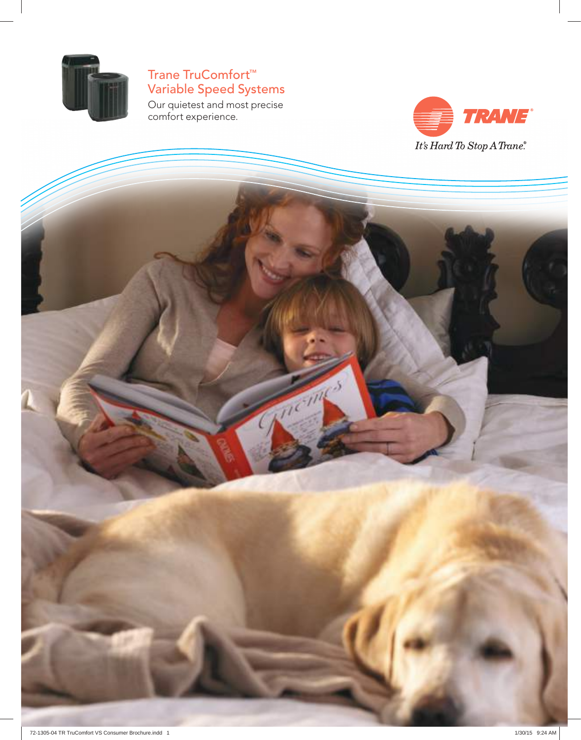

## Trane TruComfort™ Variable Speed Systems

Our quietest and most precise comfort experience.

**REGISTER** 

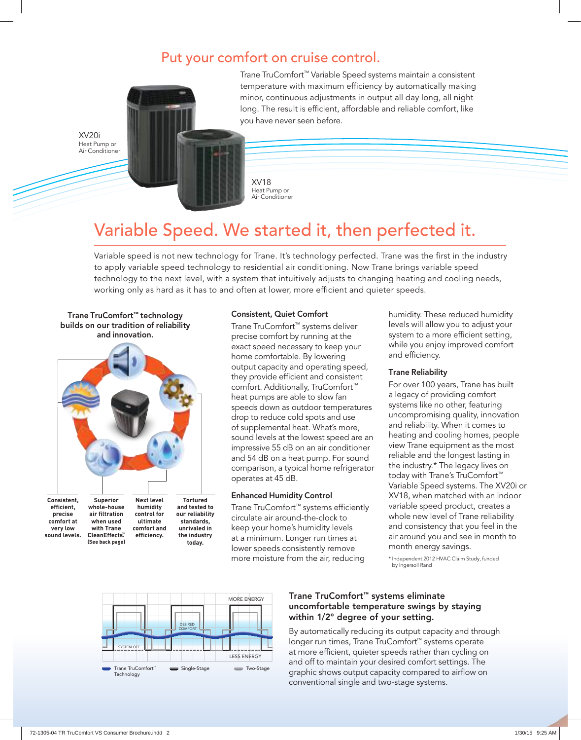### Put your comfort on cruise control.



Trane TruComfort™ Variable Speed systems maintain a consistent temperature with maximum efficiency by automatically making minor, continuous adjustments in output all day long, all night long. The result is efficient, affordable and reliable comfort, like you have never seen before.

XV18 Heat Pump or Air Conditioner

# Variable Speed. We started it, then perfected it.

Variable speed is not new technology for Trane. It's technology perfected. Trane was the first in the industry to apply variable speed technology to residential air conditioning. Now Trane brings variable speed technology to the next level, with a system that intuitively adjusts to changing heating and cooling needs, working only as hard as it has to and often at lower, more efficient and quieter speeds.

Trane TruComfort™ technology builds on our tradition of reliability and innovation.

XV20i Heat Pump or



#### Consistent, Quiet Comfort

Trane TruComfort™ systems deliver precise comfort by running at the exact speed necessary to keep your home comfortable. By lowering output capacity and operating speed, they provide efficient and consistent comfort. Additionally, TruComfort™ heat pumps are able to slow fan speeds down as outdoor temperatures drop to reduce cold spots and use of supplemental heat. What's more, sound levels at the lowest speed are an impressive 55 dB on an air conditioner and 54 dB on a heat pump. For sound comparison, a typical home refrigerator operates at 45 dB.

#### Enhanced Humidity Control

Trane TruComfort™ systems efficiently circulate air around-the-clock to keep your home's humidity levels at a minimum. Longer run times at lower speeds consistently remove more moisture from the air, reducing

humidity. These reduced humidity levels will allow you to adjust your system to a more efficient setting, while you enjoy improved comfort and efficiency.

#### Trane Reliability

For over 100 years, Trane has built a legacy of providing comfort systems like no other, featuring uncompromising quality, innovation and reliability. When it comes to heating and cooling homes, people view Trane equipment as the most reliable and the longest lasting in the industry.\* The legacy lives on today with Trane's TruComfort™ Variable Speed systems. The XV20i or XV18, when matched with an indoor variable speed product, creates a whole new level of Trane reliability and consistency that you feel in the air around you and see in month to month energy savings.

\* Independent 2012 HVAC Claim Study, funded by Ingersoll Rand



#### Trane TruComfort™ systems eliminate uncomfortable temperature swings by staying within 1/2° degree of your setting.

By automatically reducing its output capacity and through longer run times, Trane TruComfort™ systems operate at more efficient, quieter speeds rather than cycling on and off to maintain your desired comfort settings. The graphic shows output capacity compared to airflow on conventional single and two-stage systems.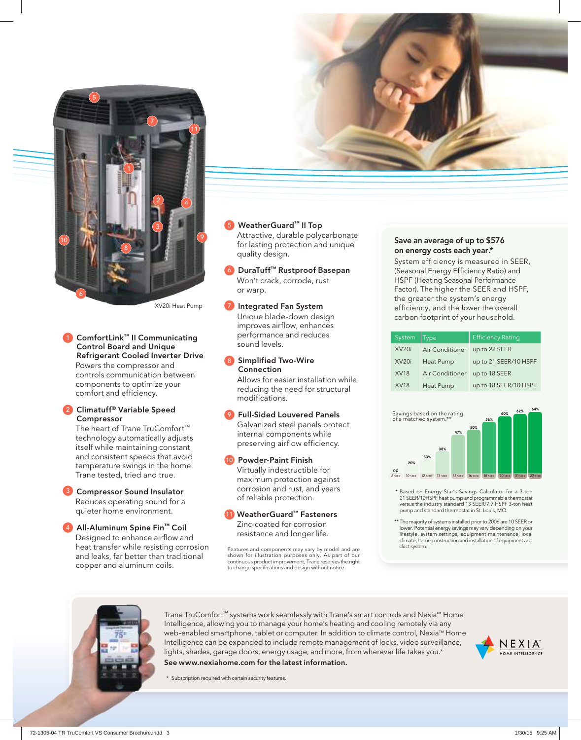

XV20i Heat Pump

1 ComfortLink™ II Communicating Control Board and Unique Refrigerant Cooled Inverter Drive Powers the compressor and controls communication between components to optimize your comfort and efficiency.

#### 2 Climatuff® Variable Speed Compressor

The heart of Trane TruComfort™ technology automatically adjusts itself while maintaining constant and consistent speeds that avoid temperature swings in the home. Trane tested, tried and true.

**3** Compressor Sound Insulator

Reduces operating sound for a quieter home environment.

4 All-Aluminum Spine Fin™ Coil Designed to enhance airflow and heat transfer while resisting corrosion and leaks, far better than traditional copper and aluminum coils.

#### WeatherGuard™ II Top

Attractive, durable polycarbonate for lasting protection and unique quality design.

6 DuraTuff™ Rustproof Basepan Won't crack, corrode, rust or warp.

Integrated Fan System Unique blade-down design improves airflow, enhances performance and reduces sound levels.

#### 8 Simplified Two-Wire Connection

Allows for easier installation while reducing the need for structural modifications.

9 Full-Sided Louvered Panels Galvanized steel panels protect internal components while preserving airflow efficiency.

#### 10 Powder-Paint Finish

Virtually indestructible for maximum protection against corrosion and rust, and years of reliable protection.

11 WeatherGuard™ Fasteners Zinc-coated for corrosion resistance and longer life.

Features and components may vary by model and are shown for illustration purposes only. As part of our continuous product improvement, Trane reserves the right to change specifications and design without notice.

#### Save an average of up to \$576 on energy costs each year.\*

System efficiency is measured in SEER, (Seasonal Energy Efficiency Ratio) and HSPF (Heating Seasonal Performance Factor). The higher the SEER and HSPF, the greater the system's energy efficiency, and the lower the overall carbon footprint of your household.

| System            | Type                   | <b>Efficiency Rating</b> |
|-------------------|------------------------|--------------------------|
| XV <sub>20i</sub> | <b>Air Conditioner</b> | up to 22 SEER            |
| XV <sub>20i</sub> | Heat Pump              | up to 21 SEER/10 HSPF    |
| <b>XV18</b>       | Air Conditioner        | up to 18 SEER            |
| <b>XV18</b>       | Heat Pump              | up to 18 SEER/10 HSPF    |



- \* Based on Energy Star's Savings Calculator for a 3-ton 21 SEER/10HSPF heat pump and programmable thermostat versus the industry standard 13 SEER/7.7 HSPF 3-ton heat pump and standard thermostat in St. Louis, MO.
- \*\* The majority of systems installed prior to 2006 are 10 SEER or lower. Potential energy savings may vary depending on your lifestyle, system settings, equipment maintenance, local climate, home construction and installation of equipment and duct system.



Trane TruComfort™ systems work seamlessly with Trane's smart controls and Nexia™ Home Intelligence, allowing you to manage your home's heating and cooling remotely via any web-enabled smartphone, tablet or computer. In addition to climate control, Nexia™ Home Intelligence can be expanded to include remote management of locks, video surveillance, lights, shades, garage doors, energy usage, and more, from wherever life takes you.\* See www.nexiahome.com for the latest information.



\* Subscription required with certain security features.